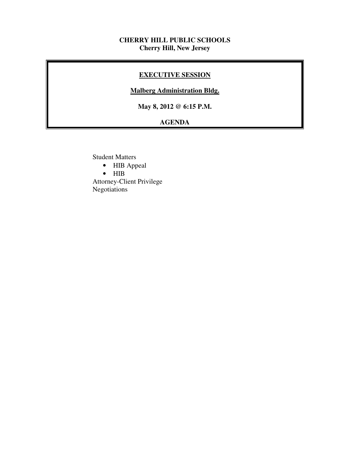## **CHERRY HILL PUBLIC SCHOOLS Cherry Hill, New Jersey**

## **EXECUTIVE SESSION**

## **Malberg Administration Bldg.**

 **May 8, 2012 @ 6:15 P.M.** 

# **AGENDA**

Student Matters

- HIB Appeal
- HIB

 Attorney-Client Privilege Negotiations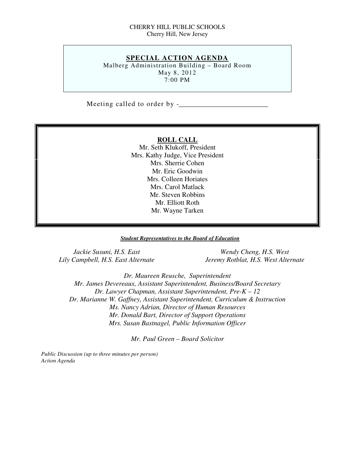### CHERRY HILL PUBLIC SCHOOLS Cherry Hill, New Jersey

## **SPECIAL ACTION AGENDA**

 Malberg Administration Building – Board Room May 8, 2012 7:00 PM

Meeting called to order by -\_\_\_\_\_\_\_\_\_\_\_\_\_\_\_\_\_\_\_\_\_\_\_\_\_\_

### **ROLL CALL**

 Mr. Seth Klukoff, President Mrs. Kathy Judge, Vice President Mrs. Sherrie Cohen Mr. Eric Goodwin Mrs. Colleen Horiates Mrs. Carol Matlack Mr. Steven Robbins Mr. Elliott Roth Mr. Wayne Tarken

#### *Student Representatives to the Board of Education*

Jackie Susuni, H.S. East Lily Campbell, H.S. East Alternate

*Wendy Cheng, H.S. West Lily Campbell, H.S. East Alternate Jeremy Rotblat, H.S. West Alternate* 

 *Dr. Maureen Reusche, Superintendent Mr. James Devereaux, Assistant Superintendent, Business/Board Secretary Dr. Lawyer Chapman, Assistant Superintendent, Pre-K – 12 Dr. Marianne W. Gaffney, Assistant Superintendent, Curriculum & Instruction Ms. Nancy Adrian, Director of Human Resources Mr. Donald Bart, Director of Support Operations Mrs. Susan Bastnagel, Public Information Officer* 

 *Mr. Paul Green – Board Solicitor* 

 *Public Discussion (up to three minutes per person) Action Agenda*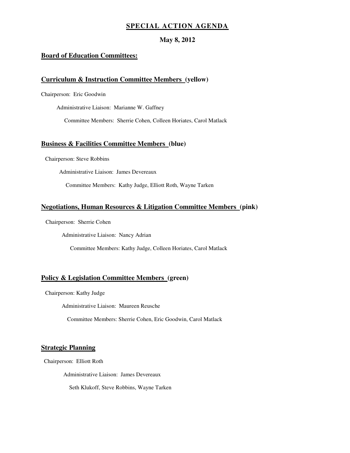## **SPECIAL ACTION AGENDA**

### **May 8, 2012**

#### **Board of Education Committees:**

#### **Curriculum & Instruction Committee Members (yellow)**

Chairperson: Eric Goodwin

Administrative Liaison: Marianne W. Gaffney

Committee Members: Sherrie Cohen, Colleen Horiates, Carol Matlack

#### **Business & Facilities Committee Members (blue)**

Chairperson: Steve Robbins

Administrative Liaison: James Devereaux

Committee Members: Kathy Judge, Elliott Roth, Wayne Tarken

#### **Negotiations, Human Resources & Litigation Committee Members (pink)**

Chairperson: Sherrie Cohen

Administrative Liaison: Nancy Adrian

Committee Members: Kathy Judge, Colleen Horiates, Carol Matlack

#### **Policy & Legislation Committee Members (green)**

Chairperson: Kathy Judge

Administrative Liaison: Maureen Reusche

Committee Members: Sherrie Cohen, Eric Goodwin, Carol Matlack

#### **Strategic Planning**

Chairperson: Elliott Roth

Administrative Liaison: James Devereaux

Seth Klukoff, Steve Robbins, Wayne Tarken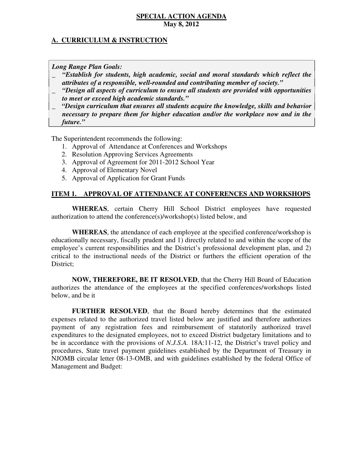## **A. CURRICULUM & INSTRUCTION**

 *Long Range Plan Goals:* 

- \_ *"Establish for students, high academic, social and moral standards which reflect the attributes of a responsible, well-rounded and contributing member of society."*
- \_ *"Design all aspects of curriculum to ensure all students are provided with opportunities to meet or exceed high academic standards."*
- \_ *"Design curriculum that ensures all students acquire the knowledge, skills and behavior necessary to prepare them for higher education and/or the workplace now and in the future."*

The Superintendent recommends the following:

- 1. Approval of Attendance at Conferences and Workshops
- 2. Resolution Approving Services Agreements
- 3. Approval of Agreement for 2011-2012 School Year
- 4. Approval of Elementary Novel
- 5. Approval of Application for Grant Funds

## **ITEM 1. APPROVAL OF ATTENDANCE AT CONFERENCES AND WORKSHOPS**

 **WHEREAS**, certain Cherry Hill School District employees have requested authorization to attend the conference(s)/workshop(s) listed below, and

 **WHEREAS**, the attendance of each employee at the specified conference/workshop is educationally necessary, fiscally prudent and 1) directly related to and within the scope of the employee's current responsibilities and the District's professional development plan, and 2) critical to the instructional needs of the District or furthers the efficient operation of the District;

 **NOW, THEREFORE, BE IT RESOLVED**, that the Cherry Hill Board of Education authorizes the attendance of the employees at the specified conferences/workshops listed below, and be it

 **FURTHER RESOLVED**, that the Board hereby determines that the estimated expenses related to the authorized travel listed below are justified and therefore authorizes payment of any registration fees and reimbursement of statutorily authorized travel expenditures to the designated employees, not to exceed District budgetary limitations and to be in accordance with the provisions of *N.J.S.A.* 18A:11-12, the District's travel policy and procedures, State travel payment guidelines established by the Department of Treasury in NJOMB circular letter 08-13-OMB, and with guidelines established by the federal Office of Management and Budget: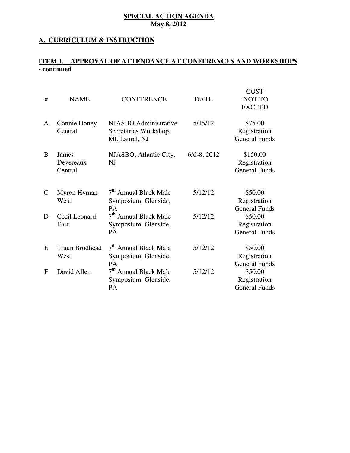## **A. CURRICULUM & INSTRUCTION**

## **ITEM 1. APPROVAL OF ATTENDANCE AT CONFERENCES AND WORKSHOPS - continued**

| #             | <b>NAME</b>                    | <b>CONFERENCE</b>                                                      | <b>DATE</b>      | <b>COST</b><br><b>NOT TO</b><br><b>EXCEED</b>    |
|---------------|--------------------------------|------------------------------------------------------------------------|------------------|--------------------------------------------------|
| A             | <b>Connie Doney</b><br>Central | NJASBO Administrative<br>Secretaries Workshop,<br>Mt. Laurel, NJ       | 5/15/12          | \$75.00<br>Registration<br><b>General Funds</b>  |
| B             | James<br>Devereaux<br>Central  | NJASBO, Atlantic City,<br>NJ                                           | $6/6 - 8$ , 2012 | \$150.00<br>Registration<br><b>General Funds</b> |
| $\mathcal{C}$ | Myron Hyman<br>West            | 7 <sup>th</sup> Annual Black Male<br>Symposium, Glenside,<br><b>PA</b> | 5/12/12          | \$50.00<br>Registration<br><b>General Funds</b>  |
| D             | Cecil Leonard<br>East          | 7 <sup>th</sup> Annual Black Male<br>Symposium, Glenside,<br><b>PA</b> | 5/12/12          | \$50.00<br>Registration<br><b>General Funds</b>  |
| E             | <b>Traun Brodhead</b><br>West  | 7 <sup>th</sup> Annual Black Male<br>Symposium, Glenside,<br><b>PA</b> | 5/12/12          | \$50.00<br>Registration<br><b>General Funds</b>  |
| F             | David Allen                    | 7 <sup>th</sup> Annual Black Male<br>Symposium, Glenside,<br><b>PA</b> | 5/12/12          | \$50.00<br>Registration<br><b>General Funds</b>  |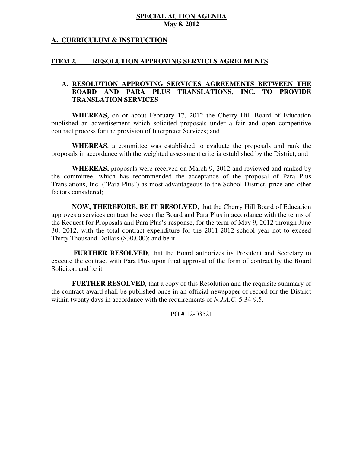## **A. CURRICULUM & INSTRUCTION**

#### **ITEM 2. RESOLUTION APPROVING SERVICES AGREEMENTS**

#### **A. RESOLUTION APPROVING SERVICES AGREEMENTS BETWEEN THE BOARD BOARD AND PARA PLUS TRANSLATIONS, INC. TO PROVIDE TRANSLATION SERVICES**

 **WHEREAS,** on or about February 17, 2012 the Cherry Hill Board of Education published an advertisement which solicited proposals under a fair and open competitive contract process for the provision of Interpreter Services; and

 **WHEREAS**, a committee was established to evaluate the proposals and rank the proposals in accordance with the weighted assessment criteria established by the District; and

 **WHEREAS,** proposals were received on March 9, 2012 and reviewed and ranked by the committee, which has recommended the acceptance of the proposal of Para Plus Translations, Inc. ("Para Plus") as most advantageous to the School District, price and other factors considered;

 **NOW, THEREFORE, BE IT RESOLVED,** that the Cherry Hill Board of Education approves a services contract between the Board and Para Plus in accordance with the terms of the Request for Proposals and Para Plus's response, for the term of May 9, 2012 through June 30, 2012, with the total contract expenditure for the 2011-2012 school year not to exceed Thirty Thousand Dollars (\$30,000); and be it

 **FURTHER RESOLVED**, that the Board authorizes its President and Secretary to execute the contract with Para Plus upon final approval of the form of contract by the Board Solicitor; and be it

 **FURTHER RESOLVED**, that a copy of this Resolution and the requisite summary of the contract award shall be published once in an official newspaper of record for the District within twenty days in accordance with the requirements of *N.J.A.C.* 5:34-9.5.

PO # 12-03521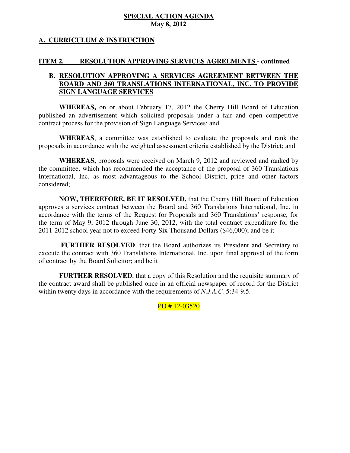## **A. CURRICULUM & INSTRUCTION**

#### **ITEM 2. RESOLUTION APPROVING SERVICES AGREEMENTS - continued**

## **B. RESOLUTION APPROVING A SERVICES AGREEMENT BETWEEN THE BOARD AND 360 TRANSLATIONS INTERNATIONAL, INC. TO PROVIDE SIGN LANGUAGE SERVICES**

 **SIGN LANGUAGE SERVICES WHEREAS,** on or about February 17, 2012 the Cherry Hill Board of Education published an advertisement which solicited proposals under a fair and open competitive contract process for the provision of Sign Language Services; and

 **WHEREAS**, a committee was established to evaluate the proposals and rank the proposals in accordance with the weighted assessment criteria established by the District; and

 **WHEREAS,** proposals were received on March 9, 2012 and reviewed and ranked by the committee, which has recommended the acceptance of the proposal of 360 Translations International, Inc. as most advantageous to the School District, price and other factors considered;

 **NOW, THEREFORE, BE IT RESOLVED,** that the Cherry Hill Board of Education approves a services contract between the Board and 360 Translations International, Inc. in accordance with the terms of the Request for Proposals and 360 Translations' response, for the term of May 9, 2012 through June 30, 2012, with the total contract expenditure for the 2011-2012 school year not to exceed Forty-Six Thousand Dollars (\$46,000); and be it

 **FURTHER RESOLVED**, that the Board authorizes its President and Secretary to execute the contract with 360 Translations International, Inc. upon final approval of the form of contract by the Board Solicitor; and be it

 **FURTHER RESOLVED**, that a copy of this Resolution and the requisite summary of the contract award shall be published once in an official newspaper of record for the District within twenty days in accordance with the requirements of *N.J.A.C.* 5:34-9.5.

PO # 12-03520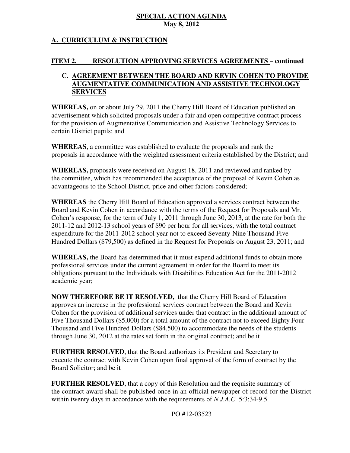# **A. CURRICULUM & INSTRUCTION**

#### **ITEM 2. INCOLUTION APPROVING SERVICES AGREEMENTS – continued**

# **C. AGREEMENT BETWEEN THE BOARD AND KEVIN COHEN TO PROVIDE AUGMENTATIVE COMMUNICATION AND ASSISTIVE TECHNOLOGY SERVICES**

 **WHEREAS,** on or about July 29, 2011 the Cherry Hill Board of Education published an advertisement which solicited proposals under a fair and open competitive contract process for the provision of Augmentative Communication and Assistive Technology Services to certain District pupils; and

 **WHEREAS**, a committee was established to evaluate the proposals and rank the proposals in accordance with the weighted assessment criteria established by the District; and

 **WHEREAS,** proposals were received on August 18, 2011 and reviewed and ranked by the committee, which has recommended the acceptance of the proposal of Kevin Cohen as advantageous to the School District, price and other factors considered;

 **WHEREAS** the Cherry Hill Board of Education approved a services contract between the Board and Kevin Cohen in accordance with the terms of the Request for Proposals and Mr. Cohen's response, for the term of July 1, 2011 through June 30, 2013, at the rate for both the 2011-12 and 2012-13 school years of \$90 per hour for all services, with the total contract expenditure for the 2011-2012 school year not to exceed Seventy-Nine Thousand Five Hundred Dollars (\$79,500) as defined in the Request for Proposals on August 23, 2011; and

 **WHEREAS,** the Board has determined that it must expend additional funds to obtain more professional services under the current agreement in order for the Board to meet its obligations pursuant to the Individuals with Disabilities Education Act for the 2011-2012 academic year;

 **NOW THEREFORE BE IT RESOLVED,** that the Cherry Hill Board of Education approves an increase in the professional services contract between the Board and Kevin Cohen for the provision of additional services under that contract in the additional amount of Five Thousand Dollars (\$5,000) for a total amount of the contract not to exceed Eighty Four Thousand and Five Hundred Dollars (\$84,500) to accommodate the needs of the students through June 30, 2012 at the rates set forth in the original contract; and be it

 **FURTHER RESOLVED**, that the Board authorizes its President and Secretary to execute the contract with Kevin Cohen upon final approval of the form of contract by the Board Solicitor; and be it

 **FURTHER RESOLVED**, that a copy of this Resolution and the requisite summary of the contract award shall be published once in an official newspaper of record for the District within twenty days in accordance with the requirements of *N.J.A.C.* 5:3:34-9.5.

PO #12-03523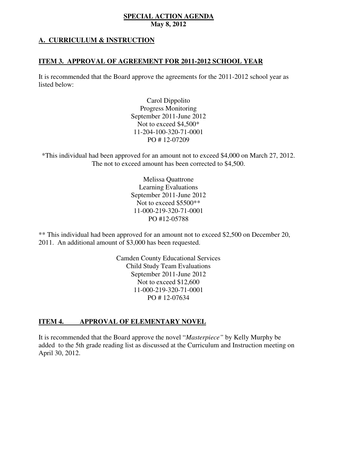# **A. CURRICULUM & INSTRUCTION**

## **ITEM 3. APPROVAL OF AGREEMENT FOR 2011-2012 SCHOOL YEAR**

 It is recommended that the Board approve the agreements for the 2011-2012 school year as listed below:

> Carol Dippolito Progress Monitoring September 2011-June 2012 Not to exceed \$4,500\* PO # 12-07209 11-204-100-320-71-0001

 \*This individual had been approved for an amount not to exceed \$4,000 on March 27, 2012. The not to exceed amount has been corrected to \$4,500.

> Melissa Quattrone Learning Evaluations September 2011-June 2012 Not to exceed \$5500\*\* PO #12-05788 11-000-219-320-71-0001

 \*\* This individual had been approved for an amount not to exceed \$2,500 on December 20, 2011. An additional amount of \$3,000 has been requested.

> Camden County Educational Services Child Study Team Evaluations September 2011-June 2012 Not to exceed \$12,600 PO # 12-07634 11-000-219-320-71-0001

#### **ITEM 4. APPROVAL OF ELEMENTARY NOVEL**

 It is recommended that the Board approve the novel "*Masterpiece"* by Kelly Murphy be added to the 5th grade reading list as discussed at the Curriculum and Instruction meeting on April 30, 2012.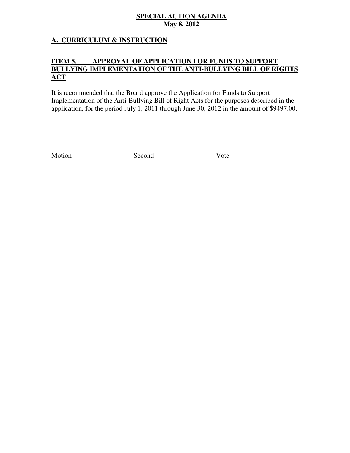# **A. CURRICULUM & INSTRUCTION**

#### **ITEM 5. BULLYING IMPLEMENTATION OF THE ANTI-BULLYING BILL OF RIGHTS APPROVAL OF APPLICATION FOR FUNDS TO SUPPORT ACT**

 It is recommended that the Board approve the Application for Funds to Support Implementation of the Anti-Bullying Bill of Right Acts for the purposes described in the application, for the period July 1, 2011 through June 30, 2012 in the amount of \$9497.00.

| Motion | Second | ote |
|--------|--------|-----|
|        |        |     |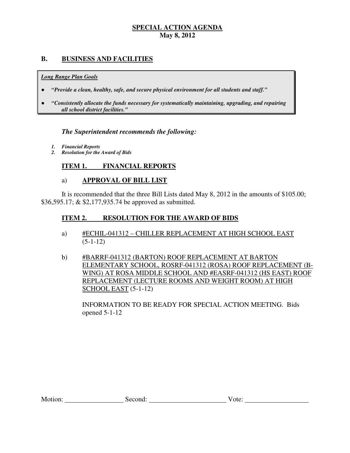## **B. BUSINESS AND FACILITIES**

#### *Long Range Plan Goals*

- *"Provide a clean, healthy, safe, and secure physical environment for all students and staff."*
- *all school district facilities."*  ● *"Consistently allocate the funds necessary for systematically maintaining, upgrading, and repairing*

# *The Superintendent recommends the following:*

- *1. Financial Reports*
- *2. Resolution for the Award of Bids*

#### **ITEM 1. FINANCIAL REPORTS**

## a) **APPROVAL OF BILL LIST**

 \$36,595.17; & \$2,177,935.74 be approved as submitted. It is recommended that the three Bill Lists dated May 8, 2012 in the amounts of \$105.00;

#### **ITEM 2. RESOLUTION FOR THE AWARD OF BIDS**

- a) #ECHIL-041312 CHILLER REPLACEMENT AT HIGH SCHOOL EAST  $(5-1-12)$
- b) #BARRF-041312 (BARTON) ROOF REPLACEMENT AT BARTON ELEMENTARY SCHOOL, ROSRF-041312 (ROSA) ROOF REPLACEMENT (B- WING) AT ROSA MIDDLE SCHOOL AND #EASRF-041312 (HS EAST) ROOF REPLACEMENT (LECTURE ROOMS AND WEIGHT ROOM) AT HIGH SCHOOL EAST (5-1-12)

 INFORMATION TO BE READY FOR SPECIAL ACTION MEETING. Bids opened 5-1-12

| Motion: | second: | V ote: |
|---------|---------|--------|
|         |         |        |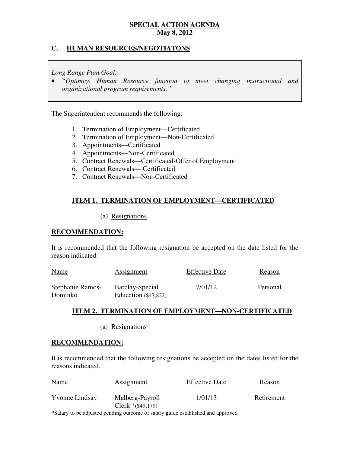## **C. HUMAN RESOURCES/NEGOTIATONS**

 *Long Range Plan Goal:* 

**•** "Optimize Human Resource function to meet changing instructional and  *organizational program requirements."* 

The Superintendent recommends the following:

- 1. Termination of Employment—Certificated
- 2. Termination of Employment—Non-Certificated
- 3. Appointments—Certificated
- 4. Appointments—Non-Certificated
- 4. Appointments—Non-Certificated<br>5. Contract Renewals—Certificated-Offer of Employment
- 6. Contract Renewals— Certificated
- 7. Contract Renewals—Non-Certificated

# **ITEM 1. TERMINATION OF EMPLOYMENT—CERTIFICATED**

(a) Resignations

## **RECOMMENDATION:**

 It is recommended that the following resignation be accepted on the date listed for the reason indicated.

| <b>Name</b>                 | Assignment                                | <b>Effective Date</b> | Reason   |
|-----------------------------|-------------------------------------------|-----------------------|----------|
| Stephanie Ramos-<br>Dominko | Barclay-Special<br>Education $(\$47,822)$ | 7/01/12               | Personal |

# **ITEM 2. TERMINATION OF EMPLOYMENT—NON-CERTIFICATED**

(a) Resignations

## **RECOMMENDATION:**

 It is recommended that the following resignations be accepted on the dates listed for the reasons indicated.

| <b>Name</b>           | <b>Assignment</b>                      | <b>Effective Date</b> | Reason     |
|-----------------------|----------------------------------------|-----------------------|------------|
| <b>Yvonne Lindsay</b> | Malberg-Payroll<br>Clerk $*(\$49,179)$ | 1/01/13               | Retirement |

\*Salary to be adjusted pending outcome of salary guide established and approved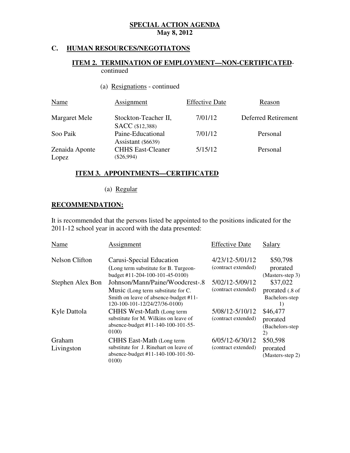#### **HUMAN RESOURCES/NEGOTIATONS**

### **ITEM 2. TERMINATION OF EMPLOYMENT—NON-CERTIFICATED**continued

(a) Resignations - continued

| <b>Name</b>             | Assignment                                     | <b>Effective Date</b> | Reason              |
|-------------------------|------------------------------------------------|-----------------------|---------------------|
| Margaret Mele           | Stockton-Teacher II,<br><b>SACC</b> (\$12,388) | 7/01/12               | Deferred Retirement |
| Soo Paik                | Paine-Educational<br>Assistant (\$6639)        | 7/01/12               | Personal            |
| Zenaida Aponte<br>Lopez | <b>CHHS East-Cleaner</b><br>$(\$26,994)$       | 5/15/12               | Personal            |

## **ITEM 3. APPOINTMENTS—CERTIFICATED**

(a) Regular

# **RECOMMENDATION:**

 It is recommended that the persons listed be appointed to the positions indicated for the 2011-12 school year in accord with the data presented:

| Name                  | Assignment                                                                                                                                      | <b>Effective Date</b>                  | Salary                                        |
|-----------------------|-------------------------------------------------------------------------------------------------------------------------------------------------|----------------------------------------|-----------------------------------------------|
| <b>Nelson Clifton</b> | Carusi-Special Education<br>(Long term substitute for B. Turgeon-<br>budget #11-204-100-101-45-0100)                                            | 4/23/12-5/01/12<br>(contract extended) | \$50,798<br>prorated<br>(Masters-step 3)      |
| Stephen Alex Bon      | Johnson/Mann/Paine/Woodcrest-.8<br>Music (Long term substitute for C.<br>Smith on leave of absence-budget #11-<br>120-100-101-12/24/27/36-0100) | 5/02/12-5/09/12<br>(contract extended) | \$37,022<br>prorated (.8 of<br>Bachelors-step |
| Kyle Dattola          | CHHS West-Math (Long term<br>substitute for M. Wilkins on leave of<br>absence-budget #11-140-100-101-55-<br>0100)                               | 5/08/12-5/10/12<br>(contract extended) | \$46,477<br>prorated<br>(Bachelors-step<br>2) |
| Graham<br>Livingston  | CHHS East-Math (Long term<br>substitute for J. Rinehart on leave of<br>absence-budget #11-140-100-101-50-<br>0100)                              | 6/05/12-6/30/12<br>(contract extended) | \$50,598<br>prorated<br>(Masters-step 2)      |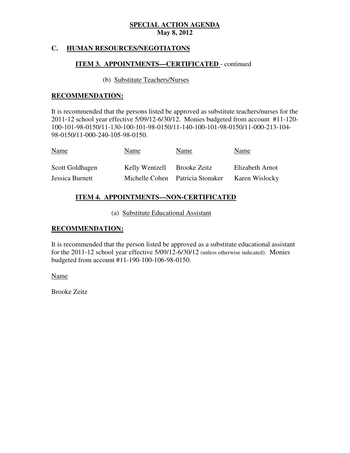#### **HUMAN RESOURCES/NEGOTIATONS**

## **ITEM 3. APPOINTMENTS—CERTIFICATED** - continued

## (b) Substitute Teachers/Nurses

### **RECOMMENDATION:**

 It is recommended that the persons listed be approved as substitute teachers/nurses for the 2011-12 school year effective 5/09/12-6/30/12. Monies budgeted from account #11-120 100-101-98-0150/11-130-100-101-98-0150/11-140-100-101-98-0150/11-000-213-104 98-0150/11-000-240-105-98-0150.

| <u>Name</u>     | Name           | Name                             | Name            |
|-----------------|----------------|----------------------------------|-----------------|
| Scott Goldhagen | Kelly Wentzell | Brooke Zeitz                     | Elizabeth Arnot |
| Jessica Burnett |                | Michelle Cohen Patricia Stonaker | Karen Wislocky  |

## **ITEM 4. APPOINTMENTS—NON-CERTIFICATED**

(a) Substitute Educational Assistant

## **RECOMMENDATION:**

 It is recommended that the person listed be approved as a substitute educational assistant for the 2011-12 school year effective 5/09/12-6/30/12 (unless otherwise indicated). Monies budgeted from account #11-190-100-106-98-0150.

Name

Brooke Zeitz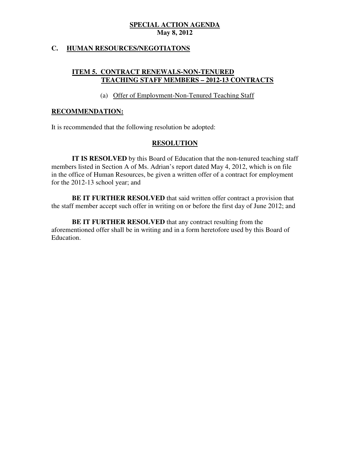## **C. HUMAN RESOURCES/NEGOTIATONS**

## **ITEM 5. CONTRACT RENEWALS-NON-TENURED TEACHING STAFF MEMBERS – 2012-13 CONTRACTS**

## (a) Offer of Employment-Non-Tenured Teaching Staff

### **RECOMMENDATION:**

It is recommended that the following resolution be adopted:

## **RESOLUTION**

 **IT IS RESOLVED** by this Board of Education that the non-tenured teaching staff members listed in Section A of Ms. Adrian's report dated May 4, 2012, which is on file in the office of Human Resources, be given a written offer of a contract for employment for the 2012-13 school year; and

 **BE IT FURTHER RESOLVED** that said written offer contract a provision that the staff member accept such offer in writing on or before the first day of June 2012; and

 **BE IT FURTHER RESOLVED** that any contract resulting from the aforementioned offer shall be in writing and in a form heretofore used by this Board of Education.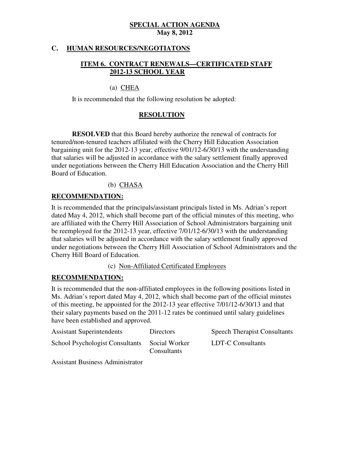## **C. HUMAN RESOURCES/NEGOTIATONS**

# **ITEM 6. CONTRACT RENEWALS—CERTIFICATED STAFF 2012-13 SCHOOL YEAR**

## (a) CHEA

It is recommended that the following resolution be adopted:

# **RESOLUTION**

 **RESOLVED** that this Board hereby authorize the renewal of contracts for tenured/non-tenured teachers affiliated with the Cherry Hill Education Association bargaining unit for the 2012-13 year, effective 9/01/12-6/30/13 with the understanding that salaries will be adjusted in accordance with the salary settlement finally approved under negotiations between the Cherry Hill Education Association and the Cherry Hill Board of Education.

# (b) CHASA

## **RECOMMENDATION:**

 It is recommended that the principals/assistant principals listed in Ms. Adrian's report dated May 4, 2012, which shall become part of the official minutes of this meeting, who are affiliated with the Cherry Hill Association of School Administrators bargaining unit be reemployed for the 2012-13 year, effective 7/01/12-6/30/13 with the understanding that salaries will be adjusted in accordance with the salary settlement finally approved under negotiations between the Cherry Hill Association of School Administrators and the Cherry Hill Board of Education.

(c) Non-Affiliated Certificated Employees

# **RECOMMENDATION:**

 It is recommended that the non-affiliated employees in the following positions listed in Ms. Adrian's report dated May 4, 2012, which shall become part of the official minutes of this meeting, be appointed for the 2012-13 year effective 7/01/12-6/30/13 and that their salary payments based on the 2011-12 rates be continued until salary guidelines have been established and approved.

| <b>Assistant Superintendents</b>       | <b>Directors</b>                    | <b>Speech Therapist Consultants</b> |
|----------------------------------------|-------------------------------------|-------------------------------------|
| <b>School Psychologist Consultants</b> | Social Worker<br><b>Consultants</b> | LDT-C Consultants                   |

Assistant Business Administrator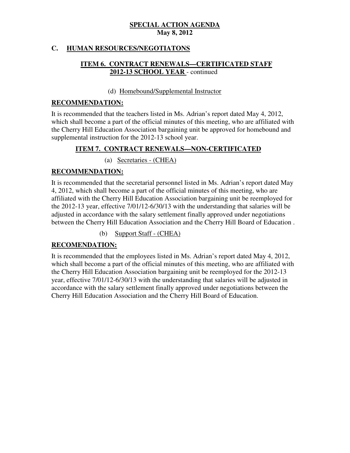## **C. HUMAN RESOURCES/NEGOTIATONS**

# **ITEM 6. CONTRACT RENEWALS—CERTIFICATED STAFF 2012-13 SCHOOL YEAR** - continued

## (d) Homebound/Supplemental Instructor

## **RECOMMENDATION:**

 It is recommended that the teachers listed in Ms. Adrian's report dated May 4, 2012, which shall become a part of the official minutes of this meeting, who are affiliated with the Cherry Hill Education Association bargaining unit be approved for homebound and supplemental instruction for the 2012-13 school year.

## **ITEM 7. CONTRACT RENEWALS—NON-CERTIFICATED**

(a) Secretaries - (CHEA)

## **RECOMMENDATION:**

 It is recommended that the secretarial personnel listed in Ms. Adrian's report dated May 4, 2012, which shall become a part of the official minutes of this meeting, who are affiliated with the Cherry Hill Education Association bargaining unit be reemployed for the 2012-13 year, effective 7/01/12-6/30/13 with the understanding that salaries will be adjusted in accordance with the salary settlement finally approved under negotiations between the Cherry Hill Education Association and the Cherry Hill Board of Education .

(b) Support Staff - (CHEA)

# **RECOMENDATION:**

 It is recommended that the employees listed in Ms. Adrian's report dated May 4, 2012, which shall become a part of the official minutes of this meeting, who are affiliated with the Cherry Hill Education Association bargaining unit be reemployed for the 2012-13 year, effective 7/01/12-6/30/13 with the understanding that salaries will be adjusted in accordance with the salary settlement finally approved under negotiations between the Cherry Hill Education Association and the Cherry Hill Board of Education.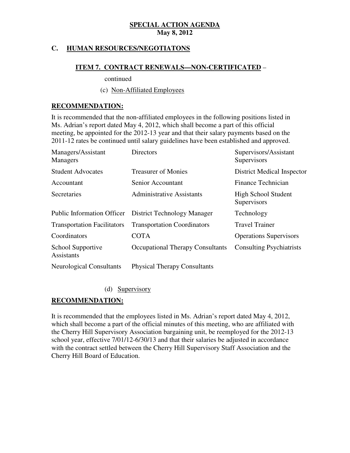## **C. HUMAN RESOURCES/NEGOTIATONS**

## **ITEM 7. CONTRACT RENEWALS—NON-CERTIFICATED** –

continued

(c) Non-Affiliated Employees

## **RECOMMENDATION:**

 It is recommended that the non-affiliated employees in the following positions listed in Ms. Adrian's report dated May 4, 2012, which shall become a part of this official meeting, be appointed for the 2012-13 year and that their salary payments based on the 2011-12 rates be continued until salary guidelines have been established and approved.

| Managers/Assistant<br>Managers         | Directors                               | Supervisors/Assistant<br>Supervisors |
|----------------------------------------|-----------------------------------------|--------------------------------------|
| <b>Student Advocates</b>               | <b>Treasurer of Monies</b>              | <b>District Medical Inspector</b>    |
| Accountant                             | Senior Accountant                       | Finance Technician                   |
| Secretaries                            | <b>Administrative Assistants</b>        | High School Student<br>Supervisors   |
| <b>Public Information Officer</b>      | <b>District Technology Manager</b>      | Technology                           |
| <b>Transportation Facilitators</b>     | <b>Transportation Coordinators</b>      | <b>Travel Trainer</b>                |
| Coordinators                           | <b>COTA</b>                             | <b>Operations Supervisors</b>        |
| School Supportive<br><b>Assistants</b> | <b>Occupational Therapy Consultants</b> | <b>Consulting Psychiatrists</b>      |
| <b>Neurological Consultants</b>        | <b>Physical Therapy Consultants</b>     |                                      |

(d) Supervisory

## **RECOMMENDATION:**

 It is recommended that the employees listed in Ms. Adrian's report dated May 4, 2012, which shall become a part of the official minutes of this meeting, who are affiliated with the Cherry Hill Supervisory Association bargaining unit, be reemployed for the 2012-13 school year, effective 7/01/12-6/30/13 and that their salaries be adjusted in accordance with the contract settled between the Cherry Hill Supervisory Staff Association and the Cherry Hill Board of Education.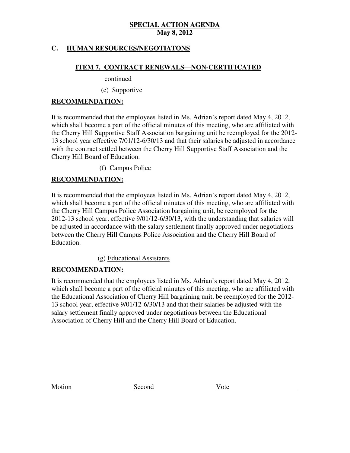## **C. HUMAN RESOURCES/NEGOTIATONS**

## **ITEM 7. CONTRACT RENEWALS—NON-CERTIFICATED** –

continued

(e) Supportive

## **RECOMMENDATION:**

 It is recommended that the employees listed in Ms. Adrian's report dated May 4, 2012, which shall become a part of the official minutes of this meeting, who are affiliated with the Cherry Hill Supportive Staff Association bargaining unit be reemployed for the 2012 13 school year effective 7/01/12-6/30/13 and that their salaries be adjusted in accordance with the contract settled between the Cherry Hill Supportive Staff Association and the Cherry Hill Board of Education.

(f) Campus Police

# **RECOMMENDATION:**

 It is recommended that the employees listed in Ms. Adrian's report dated May 4, 2012, which shall become a part of the official minutes of this meeting, who are affiliated with the Cherry Hill Campus Police Association bargaining unit, be reemployed for the 2012-13 school year, effective 9/01/12-6/30/13, with the understanding that salaries will be adjusted in accordance with the salary settlement finally approved under negotiations between the Cherry Hill Campus Police Association and the Cherry Hill Board of Education.

(g) Educational Assistants

## **RECOMMENDATION:**

 It is recommended that the employees listed in Ms. Adrian's report dated May 4, 2012, which shall become a part of the official minutes of this meeting, who are affiliated with the Educational Association of Cherry Hill bargaining unit, be reemployed for the 2012 13 school year, effective 9/01/12-6/30/13 and that their salaries be adjusted with the salary settlement finally approved under negotiations between the Educational Association of Cherry Hill and the Cherry Hill Board of Education.

| Motion<br>Second<br>√ote |  |
|--------------------------|--|
|--------------------------|--|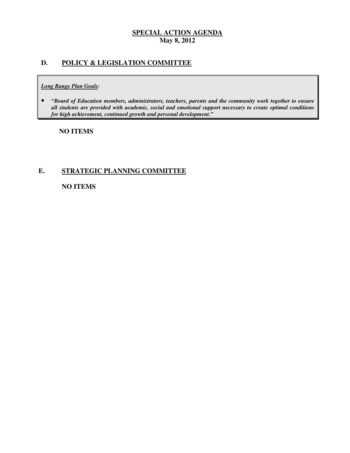# **D. POLICY & LEGISLATION COMMITTEE**

#### *Long Range Plan Goals:*

**•** "Board of Education members, administrators, teachers, parents and the community work together to ensure  *all students are provided with academic, social and emotional support necessary to create optimal conditions for high achievement, continued growth and personal development."* 

## **NO ITEMS**

## **E. STRATEGIC PLANNING COMMITTEE**

## **NO ITEMS**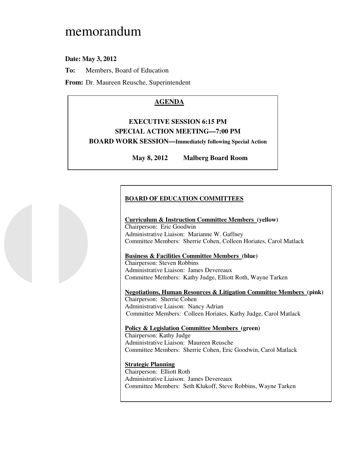# memorandum

 **Date: May 3, 2012** 

**To:** Members, Board of Education

**From:** Dr. Maureen Reusche, Superintendent

# **AGENDA**

# **EXECUTIVE SESSION 6:15 PM SPECIAL ACTION MEETING—7:00 PM BOARD WORK SESSION—Immediately following Special Action**

May 8, 2012 **Malberg Board Room** 

# **BOARD OF EDUCATION COMMITTEES**

### **Curriculum & Instruction Committee Members (yellow)**  Chairperson: Eric Goodwin Administrative Liaison: Marianne W. Gaffney Committee Members: Sherrie Cohen, Colleen Horiates, Carol Matlack

## **Business & Facilities Committee Members (blue)**

 Chairperson: Steven Robbins Administrative Liaison: James Devereaux Committee Members: Kathy Judge, Elliott Roth, Wayne Tarken

 **Negotiations, Human Resources & Litigation Committee Members (pink)**  Chairperson: Sherrie Cohen Administrative Liaison: Nancy Adrian Committee Members: Colleen Horiates, Kathy Judge, Carol Matlack

# **Policy & Legislation Committee Members (green)**

 Chairperson: Kathy Judge Administrative Liaison: Maureen Reusche Committee Members: Sherrie Cohen, Eric Goodwin, Carol Matlack

### **Strategic Planning**

 Chairperson: Elliott Roth Administrative Liaison: James Devereaux Committee Members: Seth Klukoff, Steve Robbins, Wayne Tarken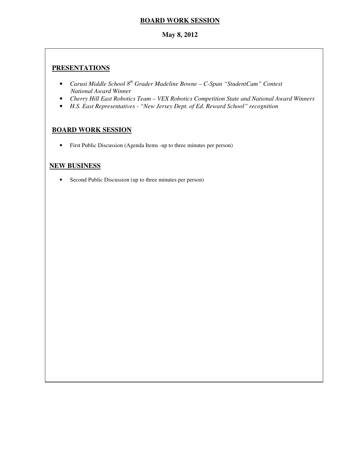# **BOARD WORK SESSION**

# **May 8, 2012**

# **PRESENTATIONS**

- Carusi Middle School 8<sup>th</sup> Grader Madeline Bowne C-Span "StudentCam" Contest *National Award Winner*
- Cherry Hill East Robotics Team VEX Robotics Competition State and National Award Winners
- • *H.S. East Representatives "New Jersey Dept. of Ed. Reward School" recognition*

# **BOARD WORK SESSION**

• First Public Discussion (Agenda Items -up to three minutes per person)

# **NEW BUSINESS**

• Second Public Discussion (up to three minutes per person)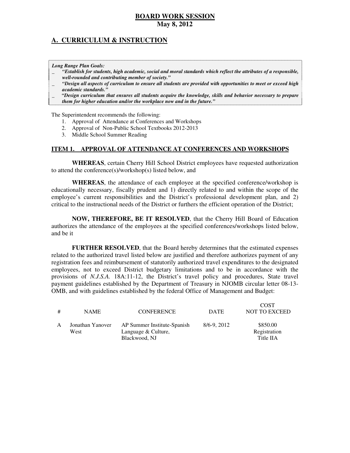# **A. CURRICULUM & INSTRUCTION**

 *Long Range Plan Goals:* 

- \_ *"Establish for students, high academic, social and moral standards which reflect the attributes of a responsible, well-rounded and contributing member of society."*
- \_ *"Design all aspects of curriculum to ensure all students are provided with opportunities to meet or exceed high academic standards."*
- \_ *"Design curriculum that ensures all students acquire the knowledge, skills and behavior necessary to prepare them for higher education and/or the workplace now and in the future."*

The Superintendent recommends the following:

- 1. Approval of Attendance at Conferences and Workshops
- 2. Approval of Non-Public School Textbooks 2012-2013
- 3. Middle School Summer Reading

### **ITEM 1. APPROVAL OF ATTENDANCE AT CONFERENCES AND WORKSHOPS**

 **WHEREAS**, certain Cherry Hill School District employees have requested authorization to attend the conference(s)/workshop(s) listed below, and

 **WHEREAS**, the attendance of each employee at the specified conference/workshop is educationally necessary, fiscally prudent and 1) directly related to and within the scope of the employee's current responsibilities and the District's professional development plan, and 2) critical to the instructional needs of the District or furthers the efficient operation of the District;

 **NOW, THEREFORE, BE IT RESOLVED**, that the Cherry Hill Board of Education authorizes the attendance of the employees at the specified conferences/workshops listed below, and be it

 **FURTHER RESOLVED**, that the Board hereby determines that the estimated expenses related to the authorized travel listed below are justified and therefore authorizes payment of any registration fees and reimbursement of statutorily authorized travel expenditures to the designated employees, not to exceed District budgetary limitations and to be in accordance with the provisions of *N.J.S.A.* 18A:11-12, the District's travel policy and procedures, State travel payment guidelines established by the Department of Treasury in NJOMB circular letter 08-13 OMB, and with guidelines established by the federal Office of Management and Budget:

| # | <b>NAME</b>              | <b>CONFERENCE</b>                                                   | <b>DATE</b> | <b>COST</b><br><b>NOT TO EXCEED</b>   |
|---|--------------------------|---------------------------------------------------------------------|-------------|---------------------------------------|
| A | Jonathan Yanover<br>West | AP Summer Institute-Spanish<br>Language & Culture,<br>Blackwood, NJ | 8/6-9, 2012 | \$850.00<br>Registration<br>Title IIA |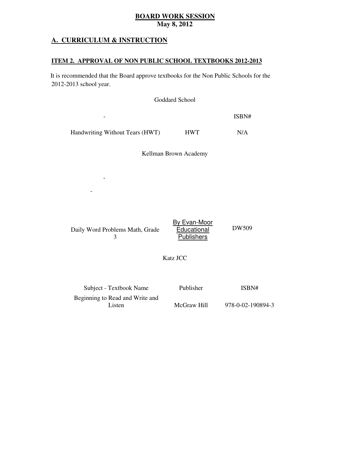## **A. CURRICULUM & INSTRUCTION**

-

-

Second Grade Math Minutes: One

### **ITEM 2. APPROVAL OF NON PUBLIC SCHOOL TEXTBOOKS 2012-2013**

 2012-2013 school year. It is recommended that the Board approve textbooks for the Non Public Schools for the

|                                 | Goddard School |       |  |
|---------------------------------|----------------|-------|--|
| -                               |                | ISBN# |  |
| Handwriting Without Tears (HWT) | <b>HWT</b>     | N/A   |  |

Kellman Brown Academy

Subject Textbook Name Publisher ISBN#

|                                 | By Evan-Moor      |       |
|---------------------------------|-------------------|-------|
| Daily Word Problems Math, Grade | Educational       | DW509 |
|                                 | <b>Publishers</b> |       |

Katz JCC

| Subject - Textbook Name         | Publisher   | ISBN#             |
|---------------------------------|-------------|-------------------|
| Beginning to Read and Write and |             |                   |
| Listen                          | McGraw Hill | 978-0-02-190894-3 |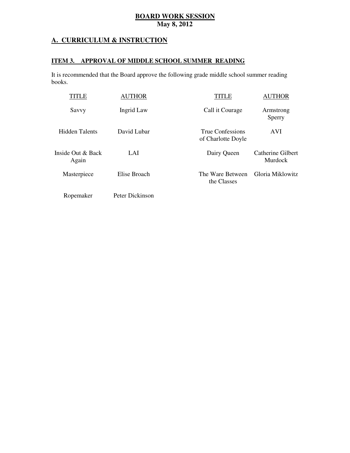## **A. CURRICULUM & INSTRUCTION**

### **ITEM 3. APPROVAL OF MIDDLE SCHOOL SUMMER READING**

 It is recommended that the Board approve the following grade middle school summer reading books.

| TITLE                      | <b>AUTHOR</b>   | TITI E                                 | <b>AUTHOR</b>                |
|----------------------------|-----------------|----------------------------------------|------------------------------|
| Savvy                      | Ingrid Law      | Call it Courage                        | Armstrong<br>Sperry          |
| Hidden Talents             | David Lubar     | True Confessions<br>of Charlotte Doyle | <b>AVI</b>                   |
| Inside Out & Back<br>Again | LAI             | Dairy Queen                            | Catherine Gilbert<br>Murdock |
| Masterpiece                | Elise Broach    | The Ware Between<br>the Classes        | Gloria Miklowitz             |
| Ropemaker                  | Peter Dickinson |                                        |                              |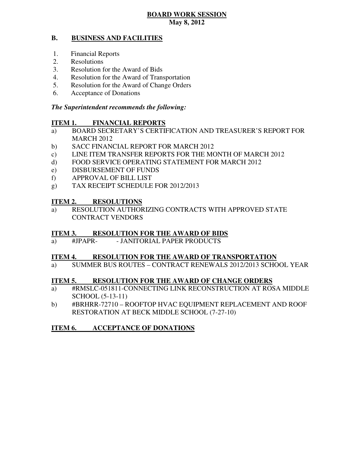#### **B. BUSINESS AND FACILITIES**

- 1. Financial Reports
- 2. Resolutions
- 3. Resolution for the Award of Bids
- 4. Resolution for the Award of Transportation
- 5. Resolution for the Award of Change Orders
- 6. Acceptance of Donations

### *The Superintendent recommends the following:*

#### **ITEM 1. FINANCIAL REPORTS**

- a) BOARD SECRETARY'S CERTIFICATION AND TREASURER'S REPORT FOR MARCH 2012
- b) SACC FINANCIAL REPORT FOR MARCH 2012
- $\mathbf{c})$ LINE ITEM TRANSFER REPORTS FOR THE MONTH OF MARCH 2012
- $\mathbf{d}$ FOOD SERVICE OPERATING STATEMENT FOR MARCH 2012
- e) DISBURSEMENT OF FUNDS
- f) APPROVAL OF BILL LIST
- $(g)$ TAX RECEIPT SCHEDULE FOR 2012/2013

## **ITEM 2. RESOLUTIONS**

a) RESOLUTION AUTHORIZING CONTRACTS WITH APPROVED STATE CONTRACT VENDORS

#### **ITEM 3. RESOLUTION FOR THE AWARD OF BIDS**

 $\#JPAPR$ a) #JPAPR- - JANITORIAL PAPER PRODUCTS

#### **ITEM 4. RESOLUTION FOR THE AWARD OF TRANSPORTATION**

a) SUMMER BUS ROUTES – CONTRACT RENEWALS 2012/2013 SCHOOL YEAR

#### **ITEM 5. RESOLUTION FOR THE AWARD OF CHANGE ORDERS**

- a) #RMSLC-051811-CONNECTING LINK RECONSTRUCTION AT ROSA MIDDLE SCHOOL (5-13-11)
- b) #BRHRR-72710 ROOFTOP HVAC EQUIPMENT REPLACEMENT AND ROOF RESTORATION AT BECK MIDDLE SCHOOL (7-27-10)

#### **ITEM 6. ACCEPTANCE OF DONATIONS**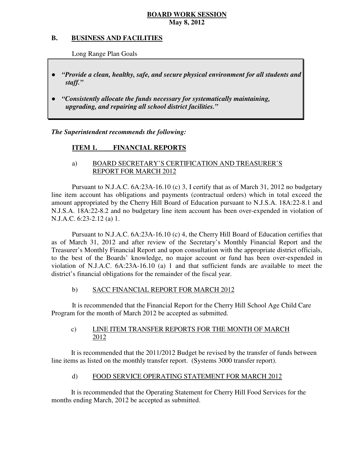#### **B. B. BUSINESS AND FACILITIES**

Long Range Plan Goals

- *"Provide a clean, healthy, safe, and secure physical environment for all students and staff."*
- *upgrading, and repairing all school district facilities."*  ● *"Consistently allocate the funds necessary for systematically maintaining,*

 *The Superintendent recommends the following:* 

#### **ITEM 1. FINANCIAL REPORTS**

## a) BOARD SECRETARY'S CERTIFICATION AND TREASURER'S REPORT FOR MARCH 2012

 Pursuant to N.J.A.C. 6A:23A-16.10 (c) 3, I certify that as of March 31, 2012 no budgetary line item account has obligations and payments (contractual orders) which in total exceed the amount appropriated by the Cherry Hill Board of Education pursuant to N.J.S.A. 18A:22-8.1 and N.J.S.A. 18A:22-8.2 and no budgetary line item account has been over-expended in violation of N.J.A.C. 6:23-2.12 (a) 1.

 Pursuant to N.J.A.C. 6A:23A-16.10 (c) 4, the Cherry Hill Board of Education certifies that as of March 31, 2012 and after review of the Secretary's Monthly Financial Report and the Treasurer's Monthly Financial Report and upon consultation with the appropriate district officials, to the best of the Boards' knowledge, no major account or fund has been over-expended in violation of N.J.A.C. 6A:23A-16.10 (a) 1 and that sufficient funds are available to meet the district's financial obligations for the remainder of the fiscal year.

#### $b)$ SACC FINANCIAL REPORT FOR MARCH 2012

 It is recommended that the Financial Report for the Cherry Hill School Age Child Care Program for the month of March 2012 be accepted as submitted.

#### $c)$ LINE ITEM TRANSFER REPORTS FOR THE MONTH OF MARCH 2012

 It is recommended that the 2011/2012 Budget be revised by the transfer of funds between line items as listed on the monthly transfer report. (Systems 3000 transfer report).

#### $\mathbf{d}$ FOOD SERVICE OPERATING STATEMENT FOR MARCH 2012

 It is recommended that the Operating Statement for Cherry Hill Food Services for the months ending March, 2012 be accepted as submitted.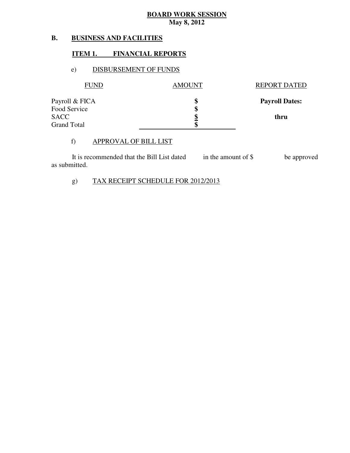#### **B. BUSINESS AND FACILITIES**

## **ITEM 1. FINANCIAL REPORTS**

## e) DISBURSEMENT OF FUNDS

| <b>FUND</b>                 | <b>AMOUNT</b> | <b>REPORT DATED</b>   |
|-----------------------------|---------------|-----------------------|
| Payroll & FICA              |               | <b>Payroll Dates:</b> |
| Food Service<br><b>SACC</b> | Φ             | thru                  |
| <b>Grand Total</b>          |               |                       |

### f) APPROVAL OF BILL LIST

| It is recommended that the Bill List dated | in the amount of \$ | be approved |
|--------------------------------------------|---------------------|-------------|
| as submitted.                              |                     |             |

# g) TAX RECEIPT SCHEDULE FOR 2012/2013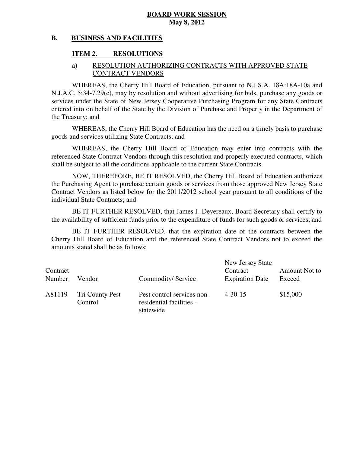#### **B. BUSINESS AND FACILITIES**

#### **ITEM 2. RESOLUTIONS**

### a) RESOLUTION AUTHORIZING CONTRACTS WITH APPROVED STATE CONTRACT VENDORS

 WHEREAS, the Cherry Hill Board of Education, pursuant to N.J.S.A. 18A:18A-10a and N.J.A.C. 5:34-7.29(c), may by resolution and without advertising for bids, purchase any goods or services under the State of New Jersey Cooperative Purchasing Program for any State Contracts entered into on behalf of the State by the Division of Purchase and Property in the Department of the Treasury; and

 WHEREAS, the Cherry Hill Board of Education has the need on a timely basis to purchase goods and services utilizing State Contracts; and

 WHEREAS, the Cherry Hill Board of Education may enter into contracts with the referenced State Contract Vendors through this resolution and properly executed contracts, which shall be subject to all the conditions applicable to the current State Contracts.

 NOW, THEREFORE, BE IT RESOLVED, the Cherry Hill Board of Education authorizes the Purchasing Agent to purchase certain goods or services from those approved New Jersey State Contract Vendors as listed below for the 2011/2012 school year pursuant to all conditions of the individual State Contracts; and

 the availability of sufficient funds prior to the expenditure of funds for such goods or services; and BE IT FURTHER RESOLVED, that James J. Devereaux, Board Secretary shall certify to

 Cherry Hill Board of Education and the referenced State Contract Vendors not to exceed the amounts stated shall be as follows: BE IT FURTHER RESOLVED, that the expiration date of the contracts between the

| Contract<br>Number | Vendor                     | Commodity/Service                                                   | New Jersey State<br>Contract<br><b>Expiration Date</b> | Amount Not to<br>Exceed |
|--------------------|----------------------------|---------------------------------------------------------------------|--------------------------------------------------------|-------------------------|
| A81119             | Tri County Pest<br>Control | Pest control services non-<br>residential facilities -<br>statewide | $4 - 30 - 15$                                          | \$15,000                |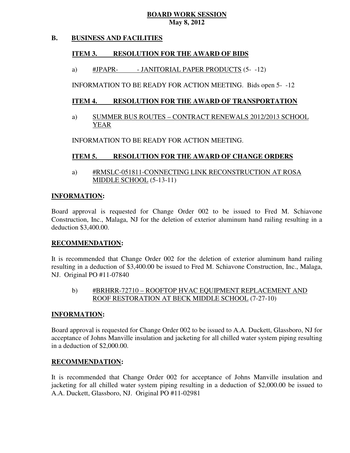#### **B. BUSINESS AND FACILITIES**

#### **ITEM 3. RESOLUTION FOR THE AWARD OF BIDS**

#JPAPRa) #JPAPR- - JANITORIAL PAPER PRODUCTS (5- -12)

INFORMATION TO BE READY FOR ACTION MEETING. Bids open 5- -12

#### **ITEM 4. RESOLUTION FOR THE AWARD OF TRANSPORTATION**

a) SUMMER BUS ROUTES – CONTRACT RENEWALS 2012/2013 SCHOOL YEAR

INFORMATION TO BE READY FOR ACTION MEETING.

#### **ITEM 5. RESOLUTION FOR THE AWARD OF CHANGE ORDERS**

a) #RMSLC-051811-CONNECTING LINK RECONSTRUCTION AT ROSA MIDDLE SCHOOL (5-13-11)

## **INFORMATION:**

 Board approval is requested for Change Order 002 to be issued to Fred M. Schiavone Construction, Inc., Malaga, NJ for the deletion of exterior aluminum hand railing resulting in a deduction \$3,400.00.

## **RECOMMENDATION:**

 It is recommended that Change Order 002 for the deletion of exterior aluminum hand railing resulting in a deduction of \$3,400.00 be issued to Fred M. Schiavone Construction, Inc., Malaga, NJ. Original PO #11-07840

# b) #BRHRR-72710 – ROOFTOP HVAC EQUIPMENT REPLACEMENT AND ROOF RESTORATION AT BECK MIDDLE SCHOOL (7-27-10)

## **INFORMATION:**

 Board approval is requested for Change Order 002 to be issued to A.A. Duckett, Glassboro, NJ for acceptance of Johns Manville insulation and jacketing for all chilled water system piping resulting in a deduction of \$2,000.00.

## **RECOMMENDATION:**

 It is recommended that Change Order 002 for acceptance of Johns Manville insulation and jacketing for all chilled water system piping resulting in a deduction of \$2,000.00 be issued to A.A. Duckett, Glassboro, NJ. Original PO #11-02981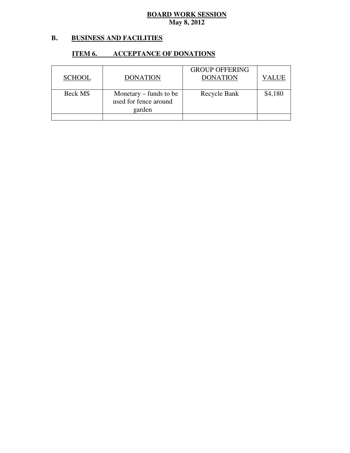#### **B. B. BUSINESS AND FACILITIES**

### **ITEM 6. ACCEPTANCE OF DONATIONS**

| <b>SCHOOL</b> | <b>DONATION</b>                                             | <b>GROUP OFFERING</b><br><b>DONATION</b> | VALUE   |
|---------------|-------------------------------------------------------------|------------------------------------------|---------|
| Beck MS       | Monetary $-$ funds to be<br>used for fence around<br>garden | Recycle Bank                             | \$4,180 |
|               |                                                             |                                          |         |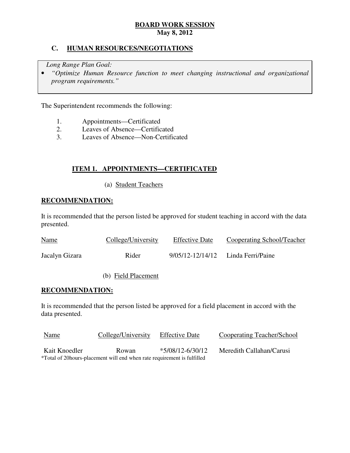## **C. HUMAN RESOURCES/NEGOTIATIONS**

*Long Range Plan Goal:* 

**•** "Optimize Human Resource function to meet changing instructional and organizational *program requirements."* 

The Superintendent recommends the following:

- 1. Appointments—Certificated<br>2. Leaves of Absence—Certific
- Leaves of Absence—Certificated
- 3. Leaves of Absence—Non-Certificated

## **ITEM 1. APPOINTMENTS—CERTIFICATED**

(a) Student Teachers

## **RECOMMENDATION:**

 It is recommended that the person listed be approved for student teaching in accord with the data presented.

| <b>Name</b>    | College/University | <b>Effective Date</b> | Cooperating School/Teacher |
|----------------|--------------------|-----------------------|----------------------------|
| Jacalyn Gizara | Rider              | 9/05/12-12/14/12      | Linda Ferri/Paine          |

### (b) Field Placement

## **RECOMMENDATION:**

 It is recommended that the person listed be approved for a field placement in accord with the data presented.

| <u>Name</u>   | College/University                                                       | <b>Effective Date</b> | Cooperating Teacher/School |
|---------------|--------------------------------------------------------------------------|-----------------------|----------------------------|
| Kait Knoedler | Rowan                                                                    | $*5/08/12 - 6/30/12$  | Meredith Callahan/Carusi   |
|               | *Total of 20 hours-placement will end when rate requirement is fulfilled |                       |                            |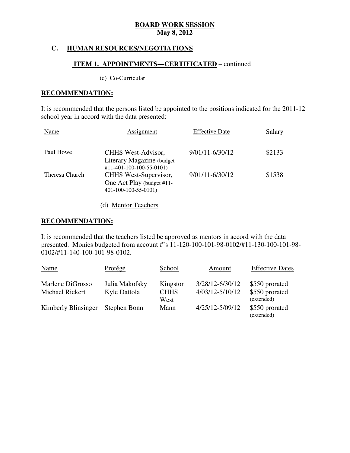## **C. HUMAN RESOURCES/NEGOTIATIONS**

## **ITEM 1. APPOINTMENTS—CERTIFICATED** – continued

#### (c) Co-Curricular

### **RECOMMENDATION:**

 It is recommended that the persons listed be appointed to the positions indicated for the 2011-12 school year in accord with the data presented:

| Name           | Assignment                                                                               | <b>Effective Date</b> | Salary |
|----------------|------------------------------------------------------------------------------------------|-----------------------|--------|
| Paul Howe      | CHHS West-Advisor,<br>Literary Magazine (budget)<br>$\#11 - 401 - 100 - 100 - 55 - 0101$ | 9/01/11-6/30/12       | \$2133 |
| Theresa Church | CHHS West-Supervisor,<br>One Act Play (budget #11-<br>401-100-100-55-0101)               | 9/01/11-6/30/12       | \$1538 |

(d) Mentor Teachers

### **RECOMMENDATION:**

 It is recommended that the teachers listed be approved as mentors in accord with the data presented. Monies budgeted from account #'s 11-120-100-101-98-0102/#11-130-100-101-98 0102/#11-140-100-101-98-0102.

| Name                                | Protégé                        | School                          | Amount                             | <b>Effective Dates</b>                         |
|-------------------------------------|--------------------------------|---------------------------------|------------------------------------|------------------------------------------------|
| Marlene DiGrosso<br>Michael Rickert | Julia Makofsky<br>Kyle Dattola | Kingston<br><b>CHHS</b><br>West | 3/28/12-6/30/12<br>4/03/12-5/10/12 | \$550 prorated<br>\$550 prorated<br>(extended) |
| Kimberly Blinsinger                 | Stephen Bonn                   | Mann                            | 4/25/12-5/09/12                    | \$550 prorated<br>(extended)                   |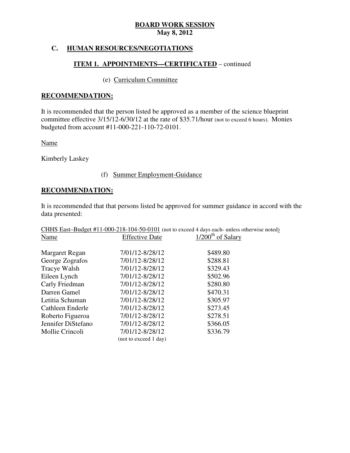## **C. HUMAN RESOURCES/NEGOTIATIONS**

## **ITEM 1. APPOINTMENTS—CERTIFICATED** – continued

## (e) Curriculum Committee

## **RECOMMENDATION:**

 It is recommended that the person listed be approved as a member of the science blueprint committee effective 3/15/12-6/30/12 at the rate of \$35.71/hour (not to exceed 6 hours). Monies budgeted from account #11-000-221-110-72-0101.

Name

Kimberly Laskey

## (f) Summer Employment-Guidance

## **RECOMMENDATION:**

 It is recommended that that persons listed be approved for summer guidance in accord with the data presented:

|                    |                       | CHHS East-Budget #11-000-218-104-50-0101 (not to exceed 4 days each- unless otherwise noted) |  |  |
|--------------------|-----------------------|----------------------------------------------------------------------------------------------|--|--|
| Name               | <b>Effective Date</b> | $1/200th$ of Salary                                                                          |  |  |
|                    |                       |                                                                                              |  |  |
| Margaret Regan     | 7/01/12-8/28/12       | \$489.80                                                                                     |  |  |
| George Zografos    | 7/01/12-8/28/12       | \$288.81                                                                                     |  |  |
| Tracye Walsh       | 7/01/12-8/28/12       | \$329.43                                                                                     |  |  |
| Eileen Lynch       | 7/01/12-8/28/12       | \$502.96                                                                                     |  |  |
| Carly Friedman     | 7/01/12-8/28/12       | \$280.80                                                                                     |  |  |
| Darren Gamel       | 7/01/12-8/28/12       | \$470.31                                                                                     |  |  |
| Letitia Schuman    | 7/01/12-8/28/12       | \$305.97                                                                                     |  |  |
| Cathleen Enderle   | 7/01/12-8/28/12       | \$273.45                                                                                     |  |  |
| Roberto Figueroa   | 7/01/12-8/28/12       | \$278.51                                                                                     |  |  |
| Jennifer DiStefano | 7/01/12-8/28/12       | \$366.05                                                                                     |  |  |
| Mollie Crincoli    | 7/01/12-8/28/12       | \$336.79                                                                                     |  |  |
|                    | (not to exceed 1 day) |                                                                                              |  |  |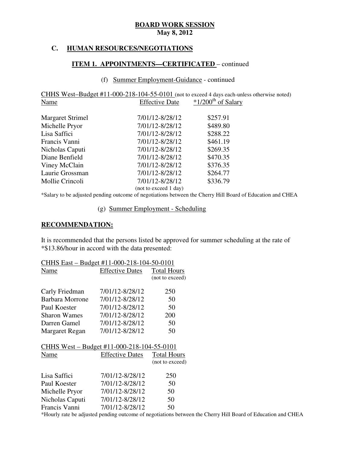## **C. HUMAN RESOURCES/NEGOTIATIONS**

## **ITEM 1. APPOINTMENTS—CERTIFICATED** – continued

### (f) Summer Employment-Guidance - continued

CHHS West-Budget #11-000-218-104-55-0101 (not to exceed 4 days each-unless otherwise noted) **Effective Date** Name Effective Date  $*1/200<sup>th</sup>$  of Salary

| <b>Margaret Strimel</b> | 7/01/12-8/28/12       | \$257.91 |
|-------------------------|-----------------------|----------|
| Michelle Pryor          | 7/01/12-8/28/12       | \$489.80 |
| Lisa Saffici            | 7/01/12-8/28/12       | \$288.22 |
| Francis Vanni           | 7/01/12-8/28/12       | \$461.19 |
| Nicholas Caputi         | 7/01/12-8/28/12       | \$269.35 |
| Diane Benfield          | 7/01/12-8/28/12       | \$470.35 |
| Viney McClain           | 7/01/12-8/28/12       | \$376.35 |
| Laurie Grossman         | 7/01/12-8/28/12       | \$264.77 |
| Mollie Crincoli         | 7/01/12-8/28/12       | \$336.79 |
|                         | (not to exceed 1 day) |          |

\*Salary to be adjusted pending outcome of negotiations between the Cherry Hill Board of Education and CHEA

### (g) Summer Employment - Scheduling

## **RECOMMENDATION:**

 It is recommended that the persons listed be approved for summer scheduling at the rate of \*\$13.86/hour in accord with the data presented:

| CHHS East - Budget #11-000-218-104-50-0101 |                                            |                    |  |
|--------------------------------------------|--------------------------------------------|--------------------|--|
| Name                                       | <b>Effective Dates</b>                     | <b>Total Hours</b> |  |
|                                            |                                            | (not to exceed)    |  |
| Carly Friedman                             | 7/01/12-8/28/12                            | 250                |  |
| Barbara Morrone                            | 7/01/12-8/28/12                            | 50                 |  |
| Paul Koester                               | 7/01/12-8/28/12                            | 50                 |  |
| <b>Sharon Wames</b>                        | 7/01/12-8/28/12                            | 200                |  |
| Darren Gamel                               | 7/01/12-8/28/12                            | 50                 |  |
| Margaret Regan                             | 7/01/12-8/28/12                            | 50                 |  |
|                                            | CHHS West - Budget #11-000-218-104-55-0101 |                    |  |
| Name                                       | <b>Effective Dates</b>                     | <b>Total Hours</b> |  |
|                                            |                                            | (not to exceed)    |  |
| Lisa Saffici                               | 7/01/12-8/28/12                            | 250                |  |
| Paul Koester                               | 7/01/12-8/28/12                            | 50                 |  |
| Michelle Pryor                             | 7/01/12-8/28/12                            | 50                 |  |
| Nicholas Caputi                            | 7/01/12-8/28/12                            | 50                 |  |
| Francis Vanni                              | 7/01/12-8/28/12                            | 50                 |  |

\*Hourly rate be adjusted pending outcome of negotiations between the Cherry Hill Board of Education and CHEA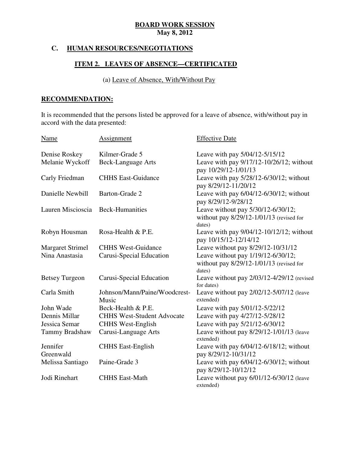# **C. HUMAN RESOURCES/NEGOTIATIONS**

# **ITEM 2. LEAVES OF ABSENCE—CERTIFICATED**

# (a) Leave of Absence, With/Without Pay

# **RECOMMENDATION:**

 It is recommended that the persons listed be approved for a leave of absence, with/without pay in accord with the data presented:

| Name                    | <b>Assignment</b>                      | <b>Effective Date</b>                                                                        |
|-------------------------|----------------------------------------|----------------------------------------------------------------------------------------------|
| Denise Roskey           | Kilmer-Grade 5                         | Leave with pay 5/04/12-5/15/12                                                               |
| Melanie Wyckoff         | <b>Beck-Language Arts</b>              | Leave with pay 9/17/12-10/26/12; without<br>pay 10/29/12-1/01/13                             |
| Carly Friedman          | <b>CHHS East-Guidance</b>              | Leave with pay $5/28/12 - 6/30/12$ ; without<br>pay 8/29/12-11/20/12                         |
| Danielle Newbill        | Barton-Grade 2                         | Leave with pay 6/04/12-6/30/12; without<br>pay 8/29/12-9/28/12                               |
| Lauren Miscioscia       | <b>Beck-Humanities</b>                 | Leave without pay 5/30/12-6/30/12;<br>without pay $8/29/12 - 1/01/13$ (revised for<br>dates) |
| Robyn Housman           | Rosa-Health & P.E.                     | Leave with pay 9/04/12-10/12/12; without<br>pay 10/15/12-12/14/12                            |
| <b>Margaret Strimel</b> | <b>CHHS West-Guidance</b>              | Leave without pay 8/29/12-10/31/12                                                           |
| Nina Anastasia          | Carusi-Special Education               | Leave without pay 1/19/12-6/30/12;<br>without pay 8/29/12-1/01/13 (revised for<br>dates)     |
| <b>Betsey Turgeon</b>   | Carusi-Special Education               | Leave without pay $2/03/12-4/29/12$ (revised<br>for dates)                                   |
| Carla Smith             | Johnson/Mann/Paine/Woodcrest-<br>Music | Leave without pay $2/02/12 - 5/07/12$ (leave<br>extended)                                    |
| John Wade               | Beck-Health & P.E.                     | Leave with pay 5/01/12-5/22/12                                                               |
| Dennis Millar           | <b>CHHS West-Student Advocate</b>      | Leave with pay 4/27/12-5/28/12                                                               |
| Jessica Semar           | <b>CHHS West-English</b>               | Leave with pay 5/21/12-6/30/12                                                               |
| Tammy Bradshaw          | Carusi-Language Arts                   | Leave without pay 8/29/12-1/01/13 (leave<br>extended)                                        |
| Jennifer<br>Greenwald   | <b>CHHS</b> East-English               | Leave with pay $6/04/12 - 6/18/12$ ; without<br>pay 8/29/12-10/31/12                         |
| Melissa Santiago        | Paine-Grade 3                          | Leave with pay 6/04/12-6/30/12; without<br>pay 8/29/12-10/12/12                              |
| Jodi Rinehart           | <b>CHHS East-Math</b>                  | Leave without pay $6/01/12 - 6/30/12$ (leave<br>extended)                                    |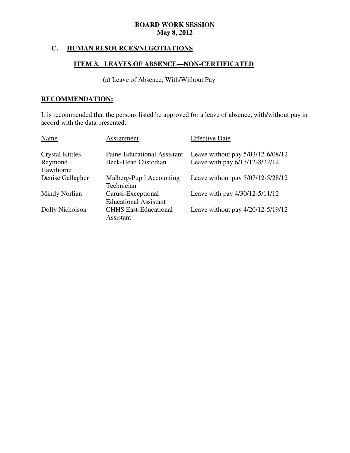# **C. HUMAN RESOURCES/NEGOTIATIONS**

# **ITEM 3. LEAVES OF ABSENCE—NON-CERTIFICATED**

# (a) Leave of Absence, With/Without Pay

# **RECOMMENDATION:**

 It is recommended that the persons listed be approved for a leave of absence, with/without pay in accord with the data presented:

| Name                   | Assignment                                         | <b>Effective Date</b>             |
|------------------------|----------------------------------------------------|-----------------------------------|
| <b>Crystal Kittles</b> | Paine-Educational Assistant                        | Leave without pay 5/03/12-6/08/12 |
| Raymond                | <b>Beck-Head Custodian</b>                         | Leave with pay 6/13/12-8/22/12    |
| Hawthorne              |                                                    |                                   |
| Denise Gallagher       | Malberg-Pupil Accounting<br>Technician             | Leave without pay 5/07/12-5/28/12 |
| Mindy Norlian          | Carusi-Exceptional<br><b>Educational Assistant</b> | Leave with pay 4/30/12-5/11/12    |
| Dolly Nicholson        | <b>CHHS East-Educational</b><br>Assistant          | Leave without pay 4/20/12-5/19/12 |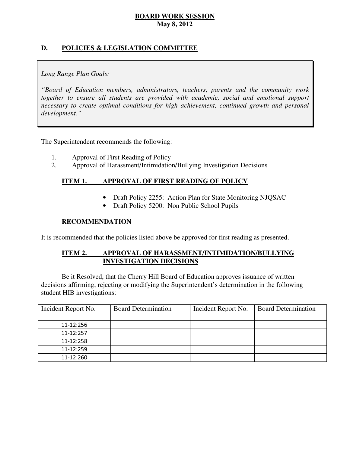# **D. POLICIES & LEGISLATION COMMITTEE**

# *Long Range Plan Goals:*

 *"Board of Education members, administrators, teachers, parents and the community work*  together to ensure all students are provided with academic, social and emotional support necessary to create optimal conditions for high achievement, continued growth and personal *development."* 

The Superintendent recommends the following:

- 1. Approval of First Reading of Policy
- 2. Approval of Harassment/Intimidation/Bullying Investigation Decisions

#### **ITEM 1. IMPROVAL OF FIRST READING OF POLICY**

- Draft Policy 2255: Action Plan for State Monitoring NJQSAC
- Draft Policy 5200: Non Public School Pupils

## **RECOMMENDATION**

It is recommended that the policies listed above be approved for first reading as presented.

#### **ITEM 2.** APPROVAL OF HARASSMENT/INTIMIDATION/BULLYING **INVESTIGATION DECISIONS**

 decisions affirming, rejecting or modifying the Superintendent's determination in the following student HIB investigations: Be it Resolved, that the Cherry Hill Board of Education approves issuance of written

| Incident Report No. | <b>Board Determination</b> | Incident Report No. | <b>Board Determination</b> |
|---------------------|----------------------------|---------------------|----------------------------|
| 11-12:256           |                            |                     |                            |
| 11-12:257           |                            |                     |                            |
| 11-12:258           |                            |                     |                            |
| 11-12:259           |                            |                     |                            |
| 11-12:260           |                            |                     |                            |